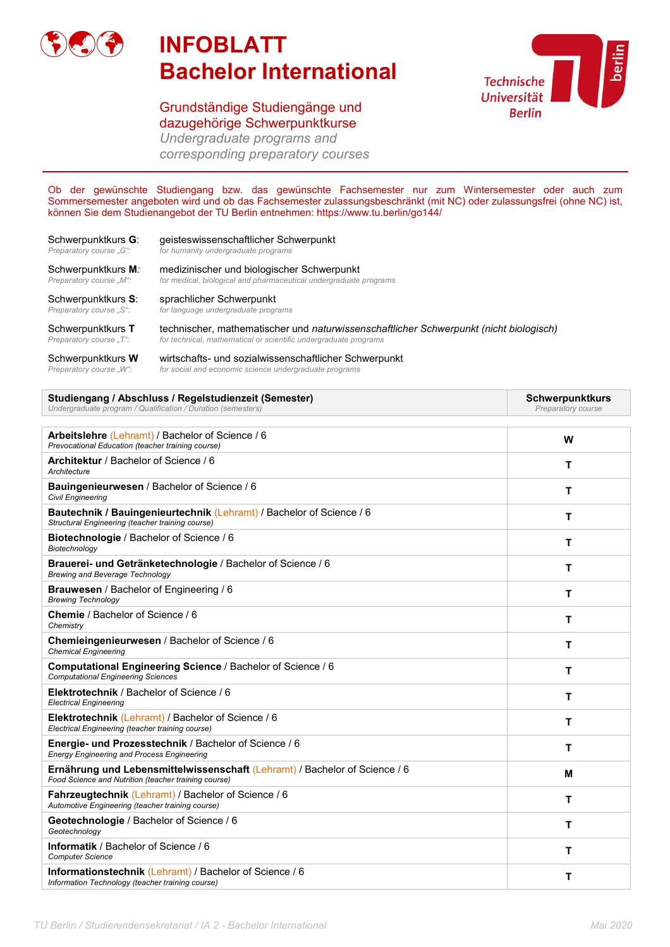

## **INFOBLATT Bachelor International**

## Grundständige Studiengänge und dazugehörige Schwerpunktkurse



*Undergraduate programs and corresponding preparatory courses*

Ob der gewünschte Studiengang bzw. das gewünschte Fachsemester nur zum Wintersemester oder auch zum Sommersemester angeboten wird und ob das Fachsemester zulassungsbeschränkt (mit NC) oder zulassungsfrei (ohne NC) ist, können Sie dem Studienangebot der TU Berlin entnehmen: https://www.tu.berlin/go144/

| Schwerpunktkurs G:      | geisteswissenschaftlicher Schwerpunkt                                                  |
|-------------------------|----------------------------------------------------------------------------------------|
| Preparatory course "G": | for humanity undergraduate programs                                                    |
| Schwerpunktkurs M:      | medizinischer und biologischer Schwerpunkt                                             |
| Preparatory course "M": | for medical, biological and pharmaceutical undergraduate programs                      |
| Schwerpunktkurs S:      | sprachlicher Schwerpunkt                                                               |
| Preparatory course "S": | for language undergraduate programs                                                    |
| Schwerpunktkurs T       | technischer, mathematischer und naturwissenschaftlicher Schwerpunkt (nicht biologisch) |
| Preparatory course "T": | for technical, mathematical or scientific undergraduate programs                       |

| Schwerpunktkurs <b>W</b> | wirtschafts- und sozialwissenschaftlicher Schwerpunkt  |
|--------------------------|--------------------------------------------------------|
| Preparatory course "W":  | for social and economic science undergraduate programs |

| Studiengang / Abschluss / Regelstudienzeit (Semester)        | Schwerpunktkurs    |
|--------------------------------------------------------------|--------------------|
| Undergraduate program / Qualification / Duration (semesters) | Preparatory course |
|                                                              |                    |

| Arbeitslehre (Lehramt) / Bachelor of Science / 6<br>Prevocational Education (teacher training course)                                     | W |
|-------------------------------------------------------------------------------------------------------------------------------------------|---|
| Architektur / Bachelor of Science / 6<br>Architecture                                                                                     | т |
| Bauingenieurwesen / Bachelor of Science / 6<br><b>Civil Engineering</b>                                                                   | т |
| <b>Bautechnik / Bauingenieurtechnik (Lehramt) / Bachelor of Science / 6</b><br>Structural Engineering (teacher training course)           | т |
| <b>Biotechnologie</b> / Bachelor of Science / 6<br>Biotechnology                                                                          | т |
| Brauerei- und Getränketechnologie / Bachelor of Science / 6<br><b>Brewing and Beverage Technology</b>                                     | т |
| <b>Brauwesen</b> / Bachelor of Engineering / 6<br><b>Brewing Technology</b>                                                               | т |
| Chemie / Bachelor of Science / 6<br>Chemistry                                                                                             | т |
| Chemieingenieurwesen / Bachelor of Science / 6<br><b>Chemical Engineering</b>                                                             | Т |
| Computational Engineering Science / Bachelor of Science / 6<br><b>Computational Engineering Sciences</b>                                  | т |
| Elektrotechnik / Bachelor of Science / 6<br><b>Electrical Engineering</b>                                                                 | т |
| <b>Elektrotechnik (Lehramt) / Bachelor of Science / 6</b><br>Electrical Engineering (teacher training course)                             | т |
| <b>Energie- und Prozesstechnik</b> / Bachelor of Science / 6<br><b>Energy Engineering and Process Engineering</b>                         | т |
| <b>Ernährung und Lebensmittelwissenschaft (Lehramt) / Bachelor of Science / 6</b><br>Food Science and Nutrition (teacher training course) | M |
| <b>Fahrzeugtechnik (Lehramt) / Bachelor of Science / 6</b><br>Automotive Engineering (teacher training course)                            | T |
| Geotechnologie / Bachelor of Science / 6<br>Geotechnology                                                                                 | T |
| Informatik / Bachelor of Science / 6<br><b>Computer Science</b>                                                                           | T |
| <b>Informationstechnik (Lehramt) / Bachelor of Science / 6</b><br>Information Technology (teacher training course)                        | T |